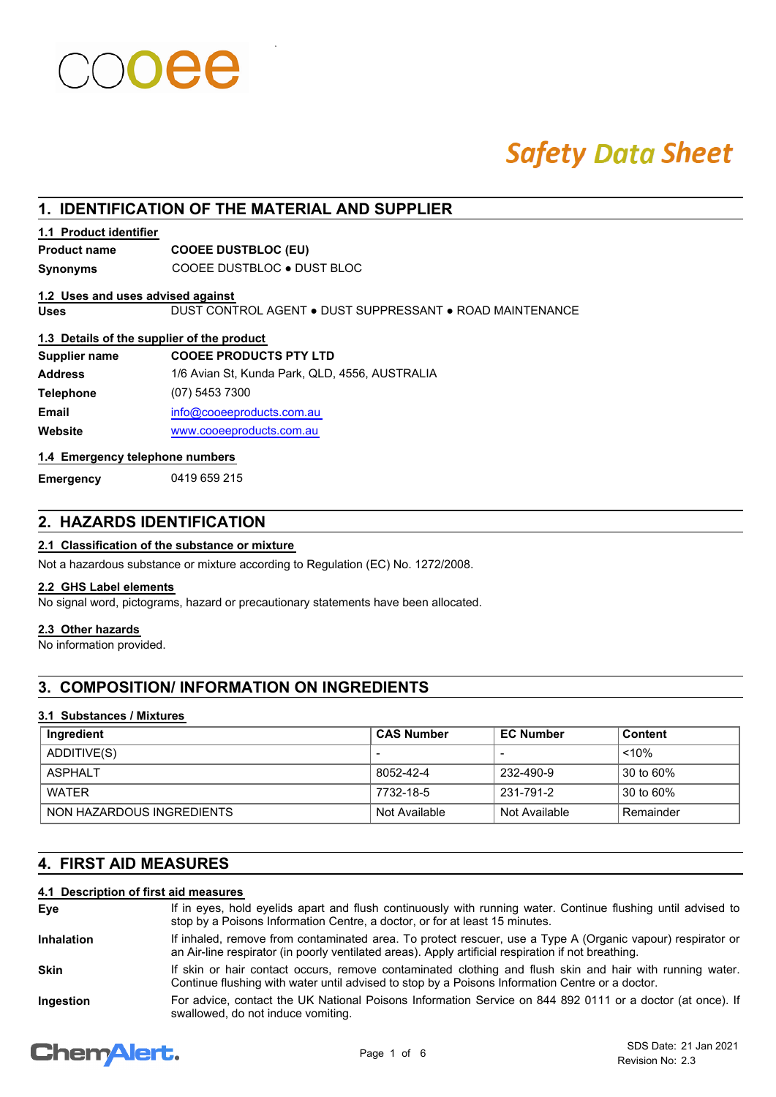# **Safety Data Sheet**

# **1. IDENTIFICATION OF THE MATERIAL AND SUPPLIER**

### **1.1 Product identifier**

## **Product name COOEE DUSTBLOC (EU)**

**Synonyms** COOEE DUSTBLOC ● DUST BLOC

#### **1.2 Uses and uses advised against**

**Uses** DUST CONTROL AGENT ● DUST SUPPRESSANT ● ROAD MAINTENANCE

#### **1.3 Details of the supplier of the product**

| <b>COOEE PRODUCTS PTY LTD</b>                  |
|------------------------------------------------|
| 1/6 Avian St, Kunda Park, QLD, 4556, AUSTRALIA |
| (07) 5453 7300                                 |
| info@cooeeproducts.com.au                      |
| www.cooeeproducts.com.au                       |
|                                                |

### **1.4 Emergency telephone numbers**

**Emergency** 0419 659 215

# **2. HAZARDS IDENTIFICATION**

**2.1 Classification of the substance or mixture**

Not a hazardous substance or mixture according to Regulation (EC) No. 1272/2008.

#### **2.2 GHS Label elements**

No signal word, pictograms, hazard or precautionary statements have been allocated.

#### **2.3 Other hazards**

No information provided.

# **3. COMPOSITION/ INFORMATION ON INGREDIENTS**

#### **3.1 Substances / Mixtures**

| Ingredient                | <b>CAS Number</b> | <b>EC Number</b> | Content   |
|---------------------------|-------------------|------------------|-----------|
| ADDITIVE(S)               | $\blacksquare$    |                  | $~10\%$   |
| ASPHAI T                  | 8052-42-4         | 232-490-9        | 30 to 60% |
| WATFR                     | 7732-18-5         | 231-791-2        | 30 to 60% |
| NON HAZARDOUS INGREDIENTS | Not Available     | Not Available    | Remainder |

# **4. FIRST AID MEASURES**

## **4.1 Description of first aid measures**

| Eve               | If in eyes, hold eyelids apart and flush continuously with running water. Continue flushing until advised to<br>stop by a Poisons Information Centre, a doctor, or for at least 15 minutes.                       |
|-------------------|-------------------------------------------------------------------------------------------------------------------------------------------------------------------------------------------------------------------|
| <b>Inhalation</b> | If inhaled, remove from contaminated area. To protect rescuer, use a Type A (Organic vapour) respirator or<br>an Air-line respirator (in poorly ventilated areas). Apply artificial respiration if not breathing. |
| <b>Skin</b>       | If skin or hair contact occurs, remove contaminated clothing and flush skin and hair with running water.<br>Continue flushing with water until advised to stop by a Poisons Information Centre or a doctor.       |
| Ingestion         | For advice, contact the UK National Poisons Information Service on 844 892 0111 or a doctor (at once). If<br>swallowed, do not induce vomiting.                                                                   |

# **ChemAlert.**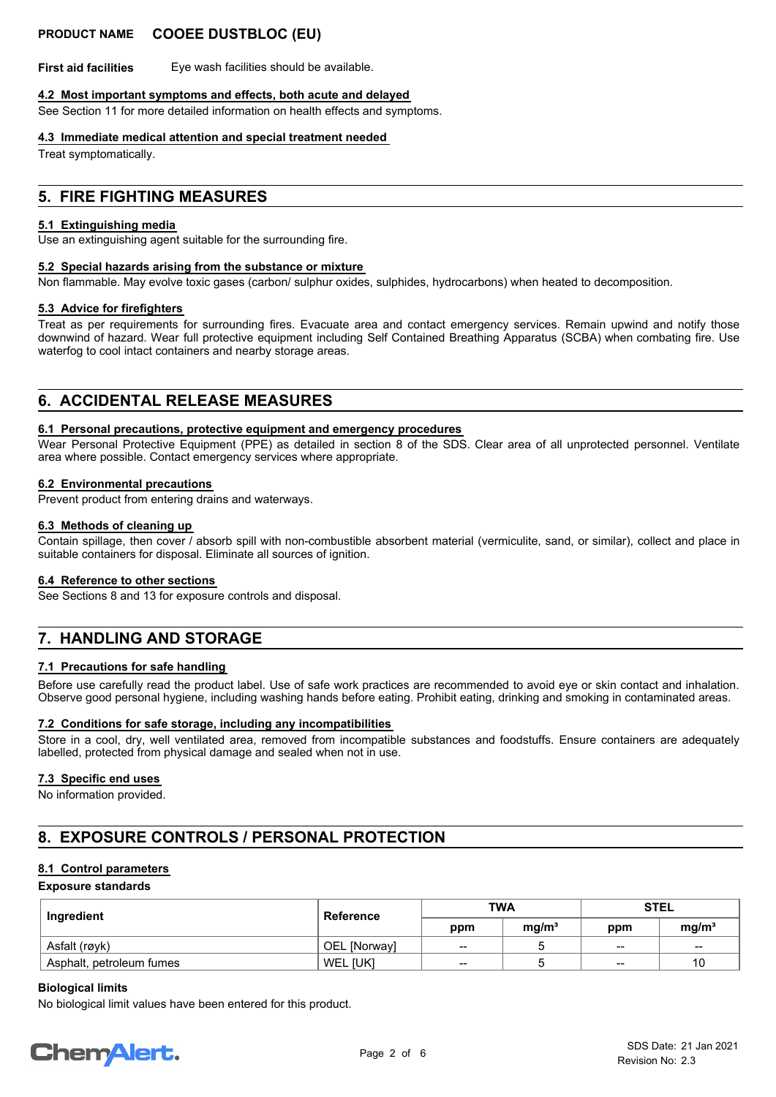## **PRODUCT NAME COOEE DUSTBLOC (EU)**

**First aid facilities** Eye wash facilities should be available.

#### **4.2 Most important symptoms and effects, both acute and delayed**

See Section 11 for more detailed information on health effects and symptoms.

#### **4.3 Immediate medical attention and special treatment needed**

Treat symptomatically.

# **5. FIRE FIGHTING MEASURES**

#### **5.1 Extinguishing media**

Use an extinguishing agent suitable for the surrounding fire.

#### **5.2 Special hazards arising from the substance or mixture**

Non flammable. May evolve toxic gases (carbon/ sulphur oxides, sulphides, hydrocarbons) when heated to decomposition.

#### **5.3 Advice for firefighters**

Treat as per requirements for surrounding fires. Evacuate area and contact emergency services. Remain upwind and notify those downwind of hazard. Wear full protective equipment including Self Contained Breathing Apparatus (SCBA) when combating fire. Use waterfog to cool intact containers and nearby storage areas.

# **6. ACCIDENTAL RELEASE MEASURES**

#### **6.1 Personal precautions, protective equipment and emergency procedures**

Wear Personal Protective Equipment (PPE) as detailed in section 8 of the SDS. Clear area of all unprotected personnel. Ventilate area where possible. Contact emergency services where appropriate.

#### **6.2 Environmental precautions**

Prevent product from entering drains and waterways.

#### **6.3 Methods of cleaning up**

Contain spillage, then cover / absorb spill with non-combustible absorbent material (vermiculite, sand, or similar), collect and place in suitable containers for disposal. Eliminate all sources of ignition.

#### **6.4 Reference to other sections**

See Sections 8 and 13 for exposure controls and disposal.

# **7. HANDLING AND STORAGE**

#### **7.1 Precautions for safe handling**

Before use carefully read the product label. Use of safe work practices are recommended to avoid eye or skin contact and inhalation. Observe good personal hygiene, including washing hands before eating. Prohibit eating, drinking and smoking in contaminated areas.

#### **7.2 Conditions for safe storage, including any incompatibilities**

Store in a cool, dry, well ventilated area, removed from incompatible substances and foodstuffs. Ensure containers are adequately labelled, protected from physical damage and sealed when not in use.

#### **7.3 Specific end uses**

No information provided.

# **8. EXPOSURE CONTROLS / PERSONAL PROTECTION**

#### **8.1 Control parameters**

**Exposure standards**

| Ingredient               | <b>Reference</b>    | <b>TWA</b> |                   | <b>STEL</b> |                   |
|--------------------------|---------------------|------------|-------------------|-------------|-------------------|
|                          |                     | ppm        | mq/m <sup>3</sup> | ppm         | mg/m <sup>3</sup> |
| Asfalt (røyk)            | <b>OEL</b> [Norway] | $-$        |                   | $\sim$      | $\sim$            |
| Asphalt, petroleum fumes | WEL [UK]            | $- -$      |                   | $\sim$      | 10                |

#### **Biological limits**

No biological limit values have been entered for this product.

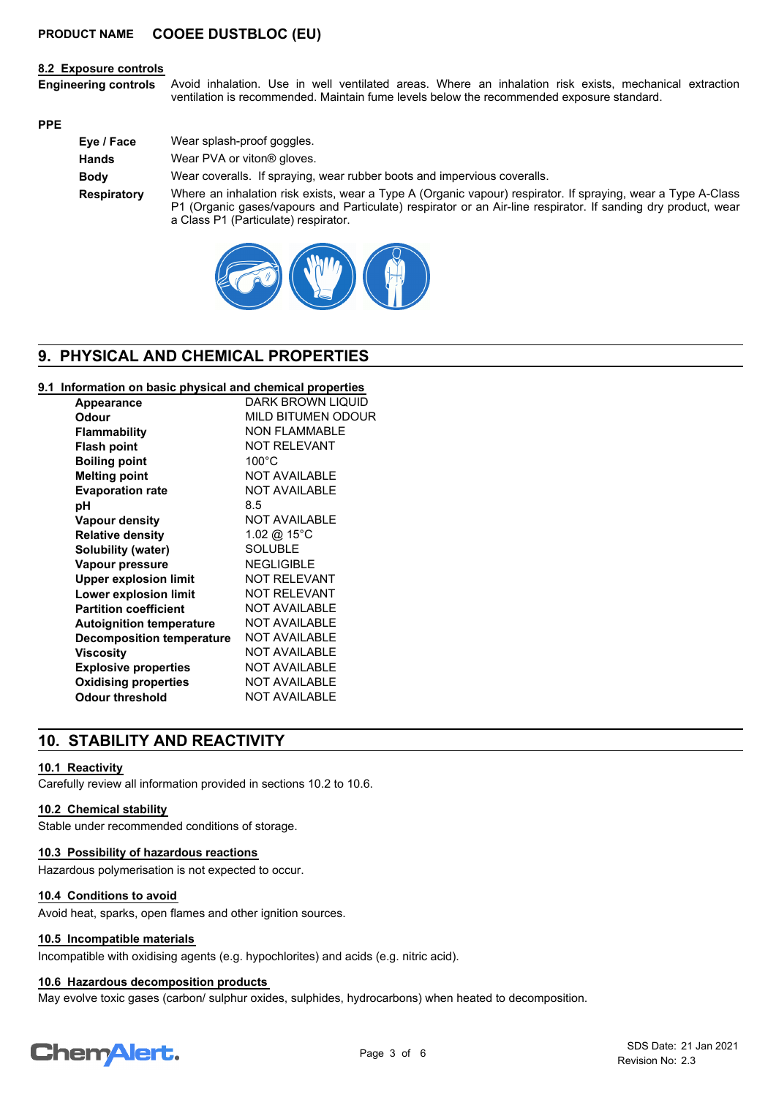#### **8.2 Exposure controls**

Avoid inhalation. Use in well ventilated areas. Where an inhalation risk exists, mechanical extraction ventilation is recommended. Maintain fume levels below the recommended exposure standard. **Engineering controls**

#### **PPE**

| Eye / Face   | Wear splash-proof goggles.                                                                                                                                                                                                                                            |
|--------------|-----------------------------------------------------------------------------------------------------------------------------------------------------------------------------------------------------------------------------------------------------------------------|
| <b>Hands</b> | Wear PVA or viton <sup>®</sup> gloves.                                                                                                                                                                                                                                |
| <b>Body</b>  | Wear coveralls. If spraying, wear rubber boots and impervious coveralls.                                                                                                                                                                                              |
| Respiratory  | Where an inhalation risk exists, wear a Type A (Organic vapour) respirator. If spraying, wear a Type A-Class<br>P1 (Organic gases/vapours and Particulate) respirator or an Air-line respirator. If sanding dry product, wear<br>a Class P1 (Particulate) respirator. |



# **9. PHYSICAL AND CHEMICAL PROPERTIES**

#### **9.1 Information on basic physical and chemical properties**

| DARK BROWN LIQUID      |
|------------------------|
| MILD BITUMEN ODOUR     |
| <b>NON FLAMMABLE</b>   |
| <b>NOT RELEVANT</b>    |
| $100^{\circ}$ C        |
| <b>NOT AVAILABLE</b>   |
| <b>NOT AVAILABLE</b>   |
| 8.5                    |
| <b>NOT AVAILABLE</b>   |
| 1.02 @ 15 $^{\circ}$ C |
| <b>SOLUBLE</b>         |
| <b>NEGLIGIBLE</b>      |
| <b>NOT RELEVANT</b>    |
| <b>NOT RELEVANT</b>    |
| <b>NOT AVAILABLE</b>   |
| <b>NOT AVAILABLE</b>   |
| <b>NOT AVAILABLE</b>   |
| <b>NOT AVAILABLE</b>   |
| <b>NOT AVAILABLE</b>   |
| <b>NOT AVAILABLE</b>   |
| <b>NOT AVAILABLE</b>   |
|                        |

# **10. STABILITY AND REACTIVITY**

#### **10.1 Reactivity**

Carefully review all information provided in sections 10.2 to 10.6.

#### **10.2 Chemical stability**

Stable under recommended conditions of storage.

#### **10.3 Possibility of hazardous reactions**

Hazardous polymerisation is not expected to occur.

#### **10.4 Conditions to avoid**

Avoid heat, sparks, open flames and other ignition sources.

#### **10.5 Incompatible materials**

Incompatible with oxidising agents (e.g. hypochlorites) and acids (e.g. nitric acid).

#### **10.6 Hazardous decomposition products**

May evolve toxic gases (carbon/ sulphur oxides, sulphides, hydrocarbons) when heated to decomposition.

# **ChemAlert.**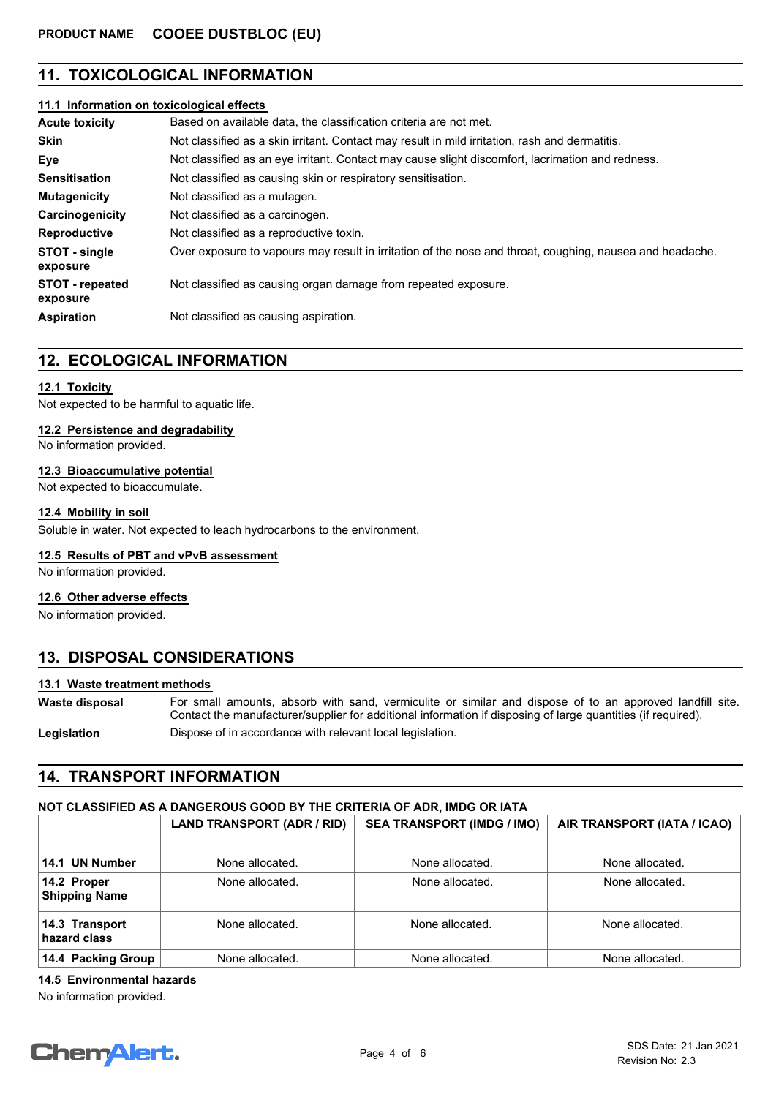# **11. TOXICOLOGICAL INFORMATION**

#### **11.1 Information on toxicological effects**

| <b>Acute toxicity</b>              | Based on available data, the classification criteria are not met.                                        |  |  |
|------------------------------------|----------------------------------------------------------------------------------------------------------|--|--|
| <b>Skin</b>                        | Not classified as a skin irritant. Contact may result in mild irritation, rash and dermatitis.           |  |  |
| Eye                                | Not classified as an eye irritant. Contact may cause slight discomfort, lacrimation and redness.         |  |  |
| <b>Sensitisation</b>               | Not classified as causing skin or respiratory sensitisation.                                             |  |  |
| <b>Mutagenicity</b>                | Not classified as a mutagen.                                                                             |  |  |
| Carcinogenicity                    | Not classified as a carcinogen.                                                                          |  |  |
| <b>Reproductive</b>                | Not classified as a reproductive toxin.                                                                  |  |  |
| STOT - single<br>exposure          | Over exposure to vapours may result in irritation of the nose and throat, coughing, nausea and headache. |  |  |
| <b>STOT - repeated</b><br>exposure | Not classified as causing organ damage from repeated exposure.                                           |  |  |
| <b>Aspiration</b>                  | Not classified as causing aspiration.                                                                    |  |  |

# **12. ECOLOGICAL INFORMATION**

#### **12.1 Toxicity**

Not expected to be harmful to aquatic life.

#### **12.2 Persistence and degradability**

No information provided.

#### **12.3 Bioaccumulative potential**

Not expected to bioaccumulate.

#### **12.4 Mobility in soil**

Soluble in water. Not expected to leach hydrocarbons to the environment.

#### **12.5 Results of PBT and vPvB assessment**

No information provided.

#### **12.6 Other adverse effects**

No information provided.

# **13. DISPOSAL CONSIDERATIONS**

#### **13.1 Waste treatment methods**

For small amounts, absorb with sand, vermiculite or similar and dispose of to an approved landfill site. Contact the manufacturer/supplier for additional information if disposing of large quantities (if required). **Waste disposal**

**Legislation** Dispose of in accordance with relevant local legislation.

## **14. TRANSPORT INFORMATION**

## **NOT CLASSIFIED AS A DANGEROUS GOOD BY THE CRITERIA OF ADR, IMDG OR IATA**

|                                     | LAND TRANSPORT (ADR / RID) | <b>SEA TRANSPORT (IMDG / IMO)</b> | AIR TRANSPORT (IATA / ICAO) |
|-------------------------------------|----------------------------|-----------------------------------|-----------------------------|
| 14.1 UN Number                      | None allocated.            | None allocated.                   | None allocated.             |
| 14.2 Proper<br><b>Shipping Name</b> | None allocated.            | None allocated.                   | None allocated.             |
| 14.3 Transport<br>hazard class      | None allocated.            | None allocated.                   | None allocated.             |
| 14.4 Packing Group                  | None allocated.            | None allocated.                   | None allocated.             |

**14.5 Environmental hazards**

No information provided.

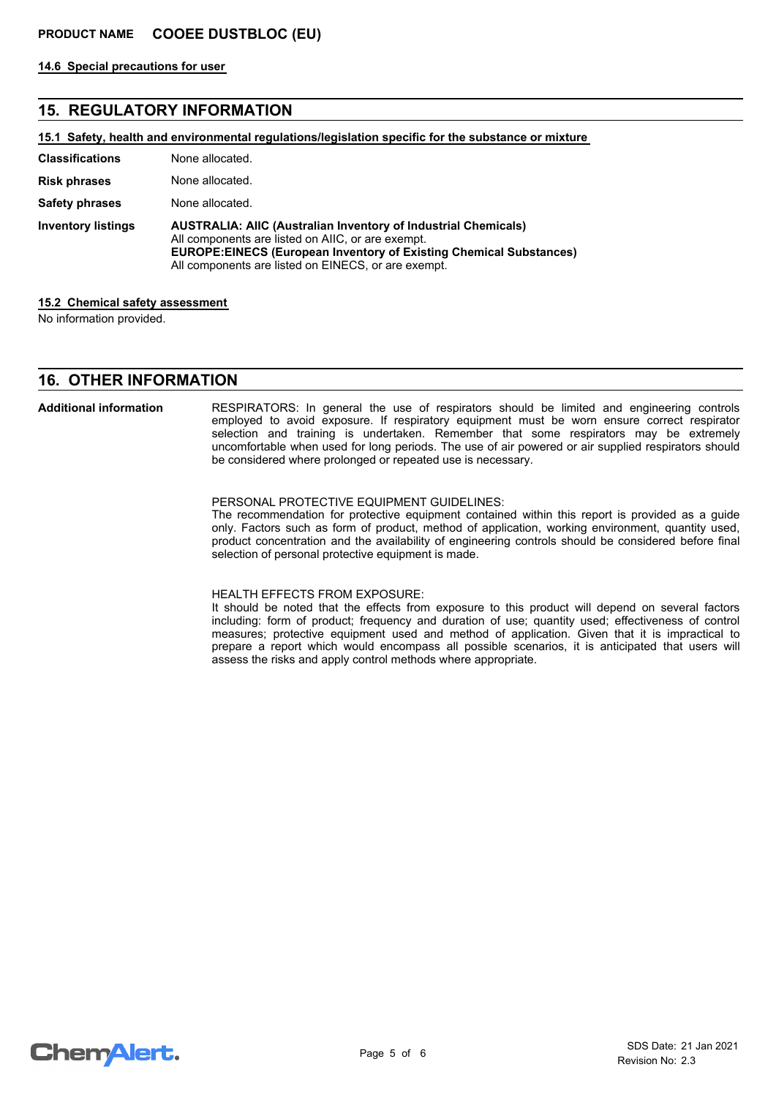**14.6 Special precautions for user**

# **15. REGULATORY INFORMATION**

**15.1 Safety, health and environmental regulations/legislation specific for the substance or mixture**

| <b>Classifications</b>    | None allocated.                                                                                                                                                                                                                                                |
|---------------------------|----------------------------------------------------------------------------------------------------------------------------------------------------------------------------------------------------------------------------------------------------------------|
| <b>Risk phrases</b>       | None allocated.                                                                                                                                                                                                                                                |
| <b>Safety phrases</b>     | None allocated.                                                                                                                                                                                                                                                |
| <b>Inventory listings</b> | <b>AUSTRALIA: AIIC (Australian Inventory of Industrial Chemicals)</b><br>All components are listed on AIIC, or are exempt.<br><b>EUROPE:EINECS (European Inventory of Existing Chemical Substances)</b><br>All components are listed on EINECS, or are exempt. |

#### **15.2 Chemical safety assessment**

No information provided.

### **16. OTHER INFORMATION**

#### **Additional information**

RESPIRATORS: In general the use of respirators should be limited and engineering controls employed to avoid exposure. If respiratory equipment must be worn ensure correct respirator selection and training is undertaken. Remember that some respirators may be extremely uncomfortable when used for long periods. The use of air powered or air supplied respirators should be considered where prolonged or repeated use is necessary.

#### PERSONAL PROTECTIVE EQUIPMENT GUIDELINES:

The recommendation for protective equipment contained within this report is provided as a guide only. Factors such as form of product, method of application, working environment, quantity used, product concentration and the availability of engineering controls should be considered before final selection of personal protective equipment is made.

#### HEALTH EFFECTS FROM EXPOSURE:

It should be noted that the effects from exposure to this product will depend on several factors including: form of product; frequency and duration of use; quantity used; effectiveness of control measures; protective equipment used and method of application. Given that it is impractical to prepare a report which would encompass all possible scenarios, it is anticipated that users will assess the risks and apply control methods where appropriate.